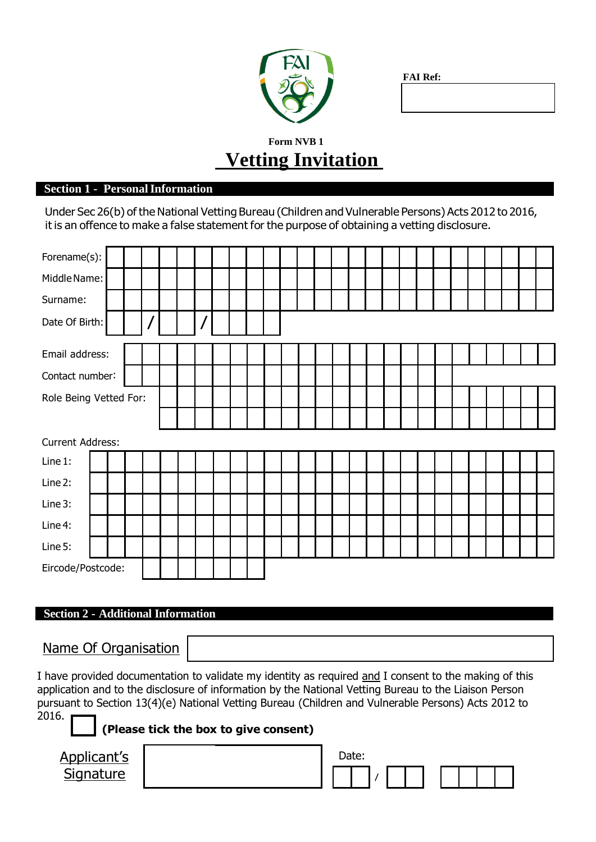| FAI |  |
|-----|--|
|     |  |

**FAI Ref:**

## **Form NVB 1 Vetting Invitation**

#### **Section 1 - PersonalInformation**

Under Sec 26(b) of the National Vetting Bureau (Children and Vulnerable Persons) Acts 2012 to 2016, it is an offence to make a false statement for the purpose of obtaining a vetting disclosure.

| Forename(s):                                       |                              |  |  |                                        |  |                |  |  |  |  |  |  |  |  |  |  |  |  |  |  |  |
|----------------------------------------------------|------------------------------|--|--|----------------------------------------|--|----------------|--|--|--|--|--|--|--|--|--|--|--|--|--|--|--|
| Middle Name:                                       |                              |  |  |                                        |  |                |  |  |  |  |  |  |  |  |  |  |  |  |  |  |  |
| Surname:                                           |                              |  |  |                                        |  |                |  |  |  |  |  |  |  |  |  |  |  |  |  |  |  |
| $\overline{I}$<br>$\overline{1}$<br>Date Of Birth: |                              |  |  |                                        |  |                |  |  |  |  |  |  |  |  |  |  |  |  |  |  |  |
| Email address:                                     |                              |  |  |                                        |  |                |  |  |  |  |  |  |  |  |  |  |  |  |  |  |  |
| Contact number:                                    |                              |  |  |                                        |  |                |  |  |  |  |  |  |  |  |  |  |  |  |  |  |  |
|                                                    | Role Being Vetted For:       |  |  |                                        |  |                |  |  |  |  |  |  |  |  |  |  |  |  |  |  |  |
|                                                    |                              |  |  |                                        |  |                |  |  |  |  |  |  |  |  |  |  |  |  |  |  |  |
| <b>Current Address:</b>                            |                              |  |  |                                        |  |                |  |  |  |  |  |  |  |  |  |  |  |  |  |  |  |
| Line 1:                                            |                              |  |  |                                        |  |                |  |  |  |  |  |  |  |  |  |  |  |  |  |  |  |
| Line 2:                                            |                              |  |  |                                        |  |                |  |  |  |  |  |  |  |  |  |  |  |  |  |  |  |
| Line 3:                                            |                              |  |  |                                        |  |                |  |  |  |  |  |  |  |  |  |  |  |  |  |  |  |
| Line 4:                                            |                              |  |  |                                        |  |                |  |  |  |  |  |  |  |  |  |  |  |  |  |  |  |
| Line 5:                                            |                              |  |  |                                        |  |                |  |  |  |  |  |  |  |  |  |  |  |  |  |  |  |
| Eircode/Postcode:                                  |                              |  |  |                                        |  |                |  |  |  |  |  |  |  |  |  |  |  |  |  |  |  |
|                                                    |                              |  |  |                                        |  |                |  |  |  |  |  |  |  |  |  |  |  |  |  |  |  |
| $\sim$ $\sim$<br>$\sim$                            | $\mathbf{A}$ of the state of |  |  | $\mathbf{I}$ $\mathbf{r}$ $\mathbf{r}$ |  | $\overline{1}$ |  |  |  |  |  |  |  |  |  |  |  |  |  |  |  |

# **Section 2 - Additional Information**

Name Of Organisation

I have provided documentation to validate my identity as required and I consent to the making of this application and to the disclosure of information by the National Vetting Bureau to the Liaison Person pursuant to Section 13(4)(e) National Vetting Bureau (Children and Vulnerable Persons) Acts 2012 to 2016.

**(Please tick the box to give consent)**

Applicant's **Signature** 

| Date: |  |  |  |  |  |
|-------|--|--|--|--|--|
|       |  |  |  |  |  |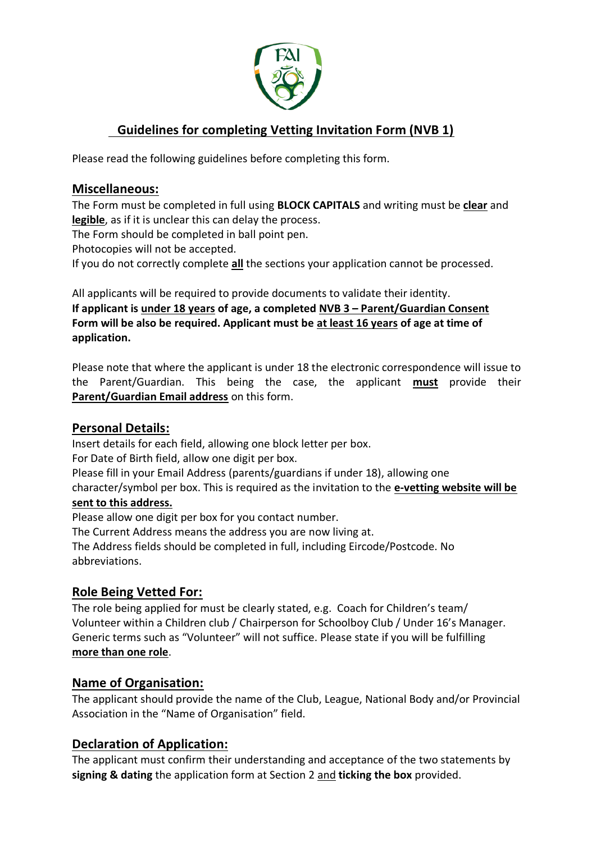

## **Guidelines for completing Vetting Invitation Form (NVB 1)**

Please read the following guidelines before completing this form.

#### **Miscellaneous:**

The Form must be completed in full using **BLOCK CAPITALS** and writing must be **clear** and **legible**, as if it is unclear this can delay the process.

The Form should be completed in ball point pen.

Photocopies will not be accepted.

If you do not correctly complete **all** the sections your application cannot be processed.

All applicants will be required to provide documents to validate their identity. **If applicant is under 18 years of age, a completed NVB 3 – Parent/Guardian Consent Form will be also be required. Applicant must be at least 16 years of age at time of application.**

Please note that where the applicant is under 18 the electronic correspondence will issue to the Parent/Guardian. This being the case, the applicant **must** provide their **Parent/Guardian Email address** on this form.

#### **Personal Details:**

Insert details for each field, allowing one block letter per box.

For Date of Birth field, allow one digit per box.

Please fill in your Email Address (parents/guardians if under 18), allowing one

character/symbol per box. This is required as the invitation to the **e-vetting website will be sent to this address.**

Please allow one digit per box for you contact number.

The Current Address means the address you are now living at.

The Address fields should be completed in full, including Eircode/Postcode. No abbreviations.

#### **Role Being Vetted For:**

The role being applied for must be clearly stated, e.g. Coach for Children's team/ Volunteer within a Children club / Chairperson for Schoolboy Club / Under 16's Manager. Generic terms such as "Volunteer" will not suffice. Please state if you will be fulfilling **more than one role**.

#### **Name of Organisation:**

The applicant should provide the name of the Club, League, National Body and/or Provincial Association in the "Name of Organisation" field.

#### **Declaration of Application:**

The applicant must confirm their understanding and acceptance of the two statements by **signing & dating** the application form at Section 2 and **ticking the box** provided.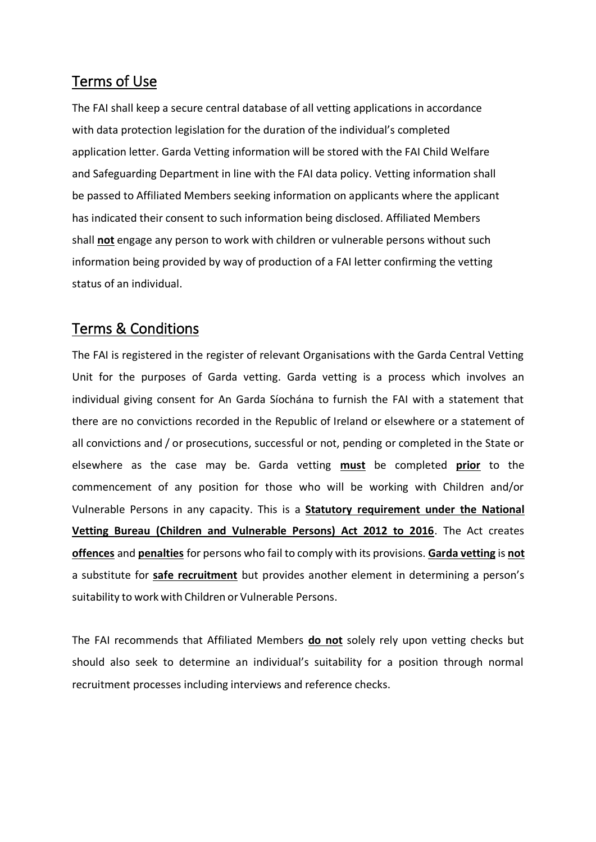## Terms of Use

The FAI shall keep a secure central database of all vetting applications in accordance with data protection legislation for the duration of the individual's completed application letter. Garda Vetting information will be stored with the FAI Child Welfare and Safeguarding Department in line with the FAI data policy. Vetting information shall be passed to Affiliated Members seeking information on applicants where the applicant has indicated their consent to such information being disclosed. Affiliated Members shall **not** engage any person to work with children or vulnerable persons without such information being provided by way of production of a FAI letter confirming the vetting status of an individual.

## Terms & Conditions

The FAI is registered in the register of relevant Organisations with the Garda Central Vetting Unit for the purposes of Garda vetting. Garda vetting is a process which involves an individual giving consent for An Garda Síochána to furnish the FAI with a statement that there are no convictions recorded in the Republic of Ireland or elsewhere or a statement of all convictions and / or prosecutions, successful or not, pending or completed in the State or elsewhere as the case may be. Garda vetting **must** be completed **prior** to the commencement of any position for those who will be working with Children and/or Vulnerable Persons in any capacity. This is a **Statutory requirement under the National Vetting Bureau (Children and Vulnerable Persons) Act 2012 to 2016**. The Act creates **offences** and **penalties** for persons who fail to comply with its provisions. **Garda vetting** is **not** a substitute for **safe recruitment** but provides another element in determining a person's suitability to work with Children or Vulnerable Persons.

The FAI recommends that Affiliated Members **do not** solely rely upon vetting checks but should also seek to determine an individual's suitability for a position through normal recruitment processes including interviews and reference checks.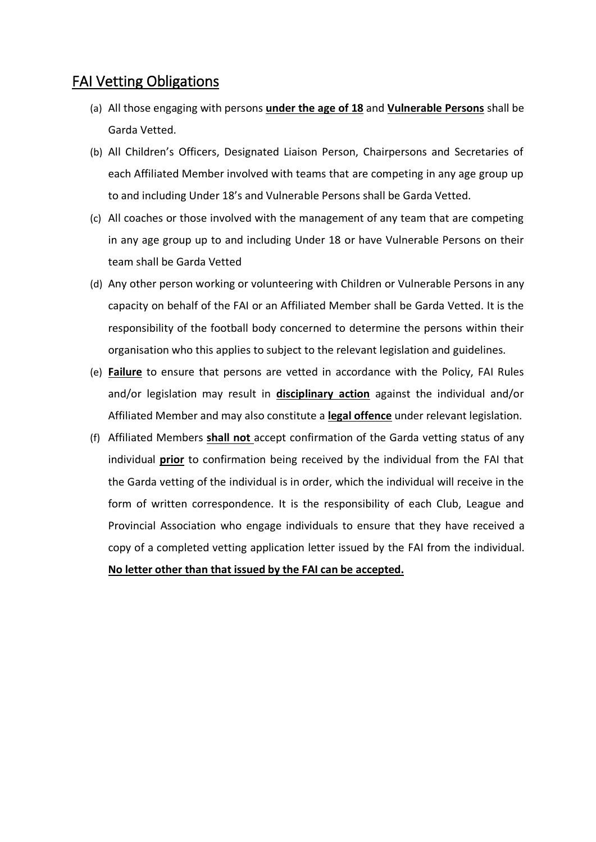### FAI Vetting Obligations

- (a) All those engaging with persons **under the age of 18** and **Vulnerable Persons** shall be Garda Vetted.
- (b) All Children's Officers, Designated Liaison Person, Chairpersons and Secretaries of each Affiliated Member involved with teams that are competing in any age group up to and including Under 18's and Vulnerable Persons shall be Garda Vetted.
- (c) All coaches or those involved with the management of any team that are competing in any age group up to and including Under 18 or have Vulnerable Persons on their team shall be Garda Vetted
- (d) Any other person working or volunteering with Children or Vulnerable Persons in any capacity on behalf of the FAI or an Affiliated Member shall be Garda Vetted. It is the responsibility of the football body concerned to determine the persons within their organisation who this applies to subject to the relevant legislation and guidelines.
- (e) **Failure** to ensure that persons are vetted in accordance with the Policy, FAI Rules and/or legislation may result in **disciplinary action** against the individual and/or Affiliated Member and may also constitute a **legal offence** under relevant legislation.
- (f) Affiliated Members **shall not** accept confirmation of the Garda vetting status of any individual **prior** to confirmation being received by the individual from the FAI that the Garda vetting of the individual is in order, which the individual will receive in the form of written correspondence. It is the responsibility of each Club, League and Provincial Association who engage individuals to ensure that they have received a copy of a completed vetting application letter issued by the FAI from the individual. **No letter other than that issued by the FAI can be accepted.**